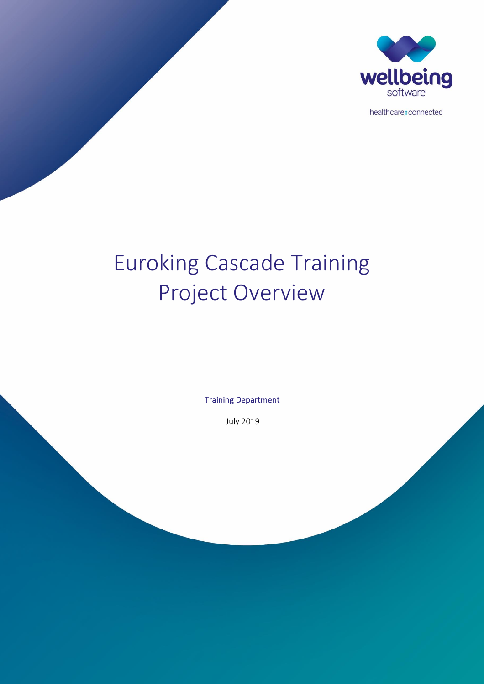

healthcare: connected

# Euroking Cascade Training Project Overview

Training Department

July 2019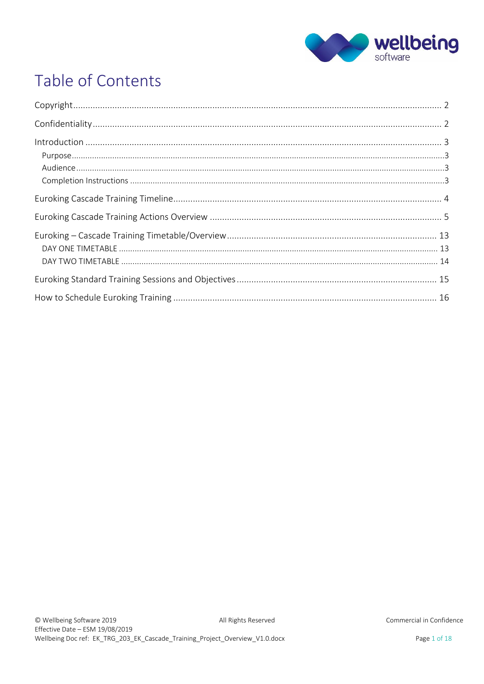

## Table of Contents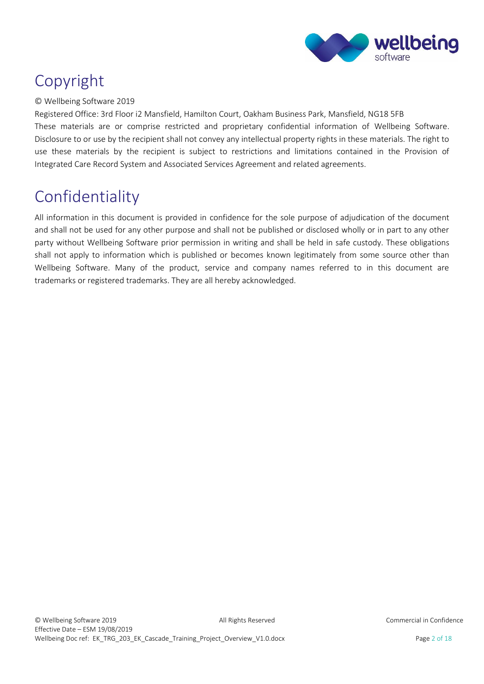

## <span id="page-2-0"></span>Copyright

#### © Wellbeing Software 2019

Registered Office: 3rd Floor i2 Mansfield, Hamilton Court, Oakham Business Park, Mansfield, NG18 5FB These materials are or comprise restricted and proprietary confidential information of Wellbeing Software. Disclosure to or use by the recipient shall not convey any intellectual property rights in these materials. The right to use these materials by the recipient is subject to restrictions and limitations contained in the Provision of Integrated Care Record System and Associated Services Agreement and related agreements.

## <span id="page-2-1"></span>Confidentiality

All information in this document is provided in confidence for the sole purpose of adjudication of the document and shall not be used for any other purpose and shall not be published or disclosed wholly or in part to any other party without Wellbeing Software prior permission in writing and shall be held in safe custody. These obligations shall not apply to information which is published or becomes known legitimately from some source other than Wellbeing Software. Many of the product, service and company names referred to in this document are trademarks or registered trademarks. They are all hereby acknowledged.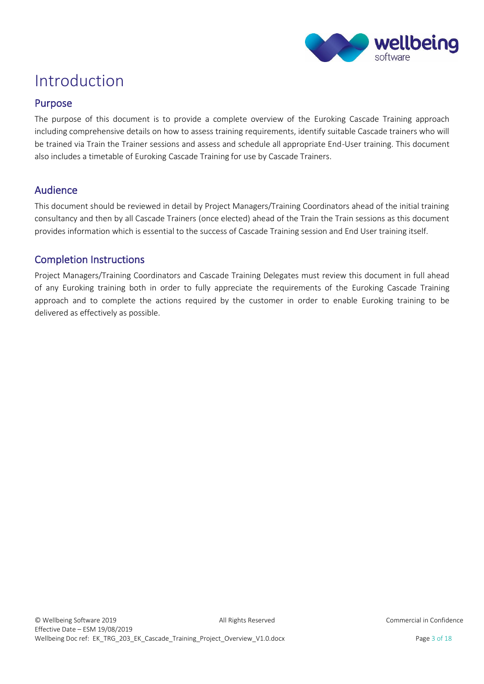

### <span id="page-3-0"></span>Introduction

### <span id="page-3-1"></span>Purpose

The purpose of this document is to provide a complete overview of the Euroking Cascade Training approach including comprehensive details on how to assess training requirements, identify suitable Cascade trainers who will be trained via Train the Trainer sessions and assess and schedule all appropriate End-User training. This document also includes a timetable of Euroking Cascade Training for use by Cascade Trainers.

### <span id="page-3-2"></span>Audience

This document should be reviewed in detail by Project Managers/Training Coordinators ahead of the initial training consultancy and then by all Cascade Trainers (once elected) ahead of the Train the Train sessions as this document provides information which is essential to the success of Cascade Training session and End User training itself.

### <span id="page-3-3"></span>Completion Instructions

Project Managers/Training Coordinators and Cascade Training Delegates must review this document in full ahead of any Euroking training both in order to fully appreciate the requirements of the Euroking Cascade Training approach and to complete the actions required by the customer in order to enable Euroking training to be delivered as effectively as possible.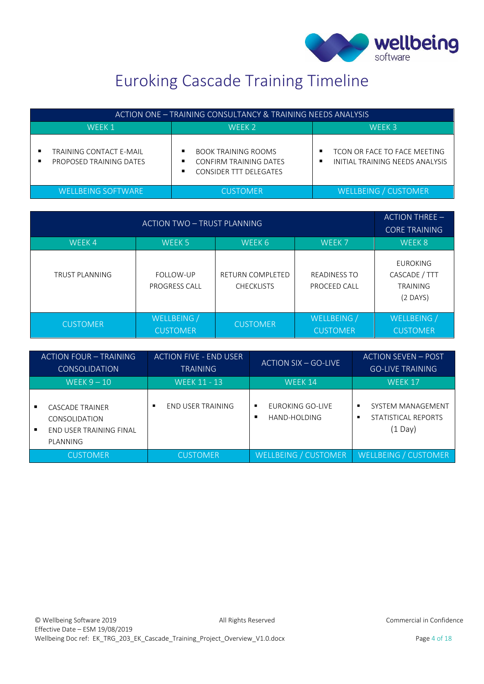

## Euroking Cascade Training Timeline

<span id="page-4-0"></span>

| ACTION ONE – TRAINING CONSULTANCY & TRAINING NEEDS ANALYSIS |                                                                                |                                                                      |
|-------------------------------------------------------------|--------------------------------------------------------------------------------|----------------------------------------------------------------------|
| WFFK 1                                                      | WFFK <sub>2</sub>                                                              | WFFK 3                                                               |
| TRAINING CONTACT E-MAIL<br>PROPOSED TRAINING DATES          | <b>BOOK TRAINING ROOMS</b><br>CONFIRM TRAINING DATES<br>CONSIDER TTT DELEGATES | TCON OR FACE TO FACE MEETING<br>٠<br>INITIAL TRAINING NEEDS ANALYSIS |
| <b>WELLBEING SOFTWARE</b>                                   | <b>CUSTOMER</b>                                                                | WELLBEING / CUSTOMER                                                 |

| <b>ACTION TWO - TRUST PLANNING</b> |                                |                                              | $ACTION THEE -$<br><b>CORE TRAINING</b> |                                                                   |
|------------------------------------|--------------------------------|----------------------------------------------|-----------------------------------------|-------------------------------------------------------------------|
| WEEK4                              | WEEK 5                         | WEEK 6                                       | WEEK <sub>7</sub>                       | WEEK 8                                                            |
| <b>TRUST PLANNING</b>              | FOLLOW-UP<br>PROGRESS CALL     | <b>RETURN COMPLETED</b><br><b>CHECKLISTS</b> | <b>READINESS TO</b><br>PROCEED CALL     | <b>EUROKING</b><br>CASCADE / TTT<br><b>TRAINING</b><br>$(2$ DAYS) |
| <b>CUSTOMER</b>                    | WELLBEING /<br><b>CUSTOMER</b> | <b>CUSTOMER</b>                              | WELLBEING /<br><b>CUSTOMER</b>          | WELLBEING /<br><b>CUSTOMER</b>                                    |

| ACTION FOUR - TRAINING |                                                                                | <b>ACTION FIVE - END USER</b> |                                       | <b>ACTION SEVEN - POST</b>                                              |
|------------------------|--------------------------------------------------------------------------------|-------------------------------|---------------------------------------|-------------------------------------------------------------------------|
| <b>CONSOLIDATION</b>   |                                                                                | <b>TRAINING</b>               | <b>ACTION SIX - GO-LIVE</b>           | <b>GO-LIVE TRAINING</b>                                                 |
| WEEK $9-10$            |                                                                                | <b>WEEK 11 - 13</b>           | WEEK 14                               | WEEK 17                                                                 |
|                        | <b>CASCADE TRAINER</b><br>CONSOLIDATION<br>END USER TRAINING FINAL<br>PLANNING | <b>END USER TRAINING</b><br>٠ | EUROKING GO-LIVE<br>٠<br>HAND-HOLDING | SYSTEM MANAGEMENT<br>٠<br>STATISTICAL REPORTS<br>٠<br>$(1 \text{ Day})$ |
|                        | <b>CUSTOMER</b>                                                                | <b>CUSTOMER</b>               | <b>WELLBEING / CUSTOMER</b>           | <b>WELLBEING / CUSTOMER</b>                                             |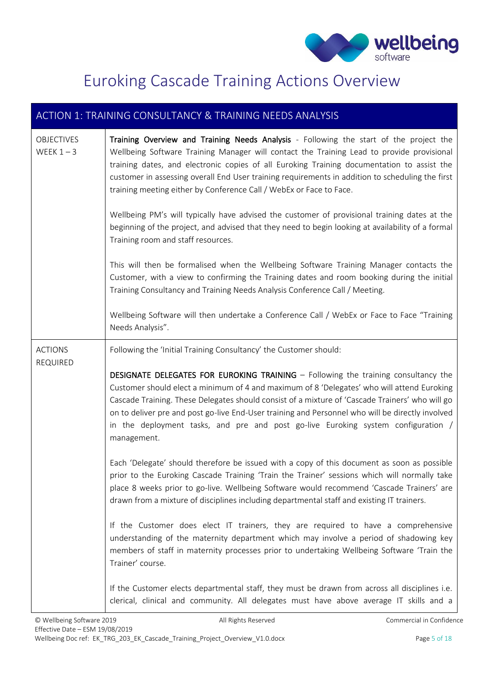

## Euroking Cascade Training Actions Overview

<span id="page-5-0"></span>

| ACTION 1: TRAINING CONSULTANCY & TRAINING NEEDS ANALYSIS |                                                                                                                                                                                                                                                                                                                                                                                                                                                                                                    |  |
|----------------------------------------------------------|----------------------------------------------------------------------------------------------------------------------------------------------------------------------------------------------------------------------------------------------------------------------------------------------------------------------------------------------------------------------------------------------------------------------------------------------------------------------------------------------------|--|
| <b>OBJECTIVES</b><br>WEEK $1 - 3$                        | Training Overview and Training Needs Analysis - Following the start of the project the<br>Wellbeing Software Training Manager will contact the Training Lead to provide provisional<br>training dates, and electronic copies of all Euroking Training documentation to assist the<br>customer in assessing overall End User training requirements in addition to scheduling the first<br>training meeting either by Conference Call / WebEx or Face to Face.                                       |  |
|                                                          | Wellbeing PM's will typically have advised the customer of provisional training dates at the<br>beginning of the project, and advised that they need to begin looking at availability of a formal<br>Training room and staff resources.                                                                                                                                                                                                                                                            |  |
|                                                          | This will then be formalised when the Wellbeing Software Training Manager contacts the<br>Customer, with a view to confirming the Training dates and room booking during the initial<br>Training Consultancy and Training Needs Analysis Conference Call / Meeting.                                                                                                                                                                                                                                |  |
|                                                          | Wellbeing Software will then undertake a Conference Call / WebEx or Face to Face "Training<br>Needs Analysis".                                                                                                                                                                                                                                                                                                                                                                                     |  |
| <b>ACTIONS</b><br>REQUIRED                               | Following the 'Initial Training Consultancy' the Customer should:                                                                                                                                                                                                                                                                                                                                                                                                                                  |  |
|                                                          | <b>DESIGNATE DELEGATES FOR EUROKING TRAINING - Following the training consultancy the</b><br>Customer should elect a minimum of 4 and maximum of 8 'Delegates' who will attend Euroking<br>Cascade Training. These Delegates should consist of a mixture of 'Cascade Trainers' who will go<br>on to deliver pre and post go-live End-User training and Personnel who will be directly involved<br>in the deployment tasks, and pre and post go-live Euroking system configuration /<br>management. |  |
|                                                          | Each 'Delegate' should therefore be issued with a copy of this document as soon as possible<br>prior to the Euroking Cascade Training 'Train the Trainer' sessions which will normally take<br>place 8 weeks prior to go-live. Wellbeing Software would recommend 'Cascade Trainers' are<br>drawn from a mixture of disciplines including departmental staff and existing IT trainers.                                                                                                             |  |
|                                                          | If the Customer does elect IT trainers, they are required to have a comprehensive<br>understanding of the maternity department which may involve a period of shadowing key<br>members of staff in maternity processes prior to undertaking Wellbeing Software 'Train the<br>Trainer' course.                                                                                                                                                                                                       |  |
|                                                          | If the Customer elects departmental staff, they must be drawn from across all disciplines i.e.<br>clerical, clinical and community. All delegates must have above average IT skills and a                                                                                                                                                                                                                                                                                                          |  |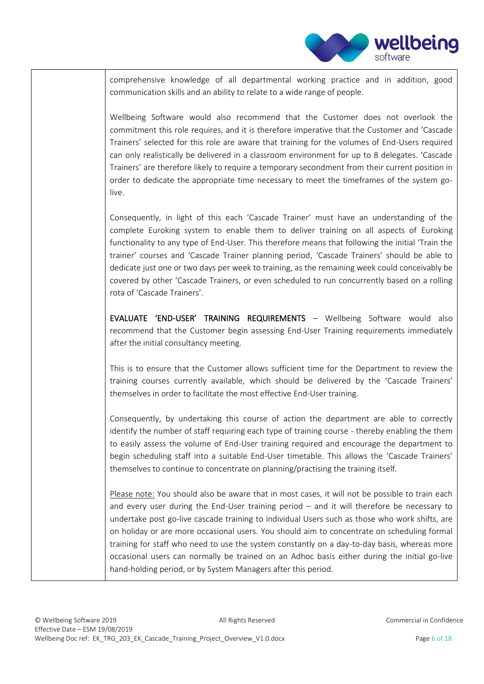

comprehensive knowledge of all departmental working practice and in addition, good communication skills and an ability to relate to a wide range of people.

Wellbeing Software would also recommend that the Customer does not overlook the commitment this role requires, and it is therefore imperative that the Customer and 'Cascade Trainers' selected for this role are aware that training for the volumes of End-Users required can only realistically be delivered in a classroom environment for up to 8 delegates. 'Cascade Trainers' are therefore likely to require a temporary secondment from their current position in order to dedicate the appropriate time necessary to meet the timeframes of the system golive.

Consequently, in light of this each 'Cascade Trainer' must have an understanding of the complete Euroking system to enable them to deliver training on all aspects of Euroking functionality to any type of End-User. This therefore means that following the initial 'Train the trainer' courses and 'Cascade Trainer planning period, 'Cascade Trainers' should be able to dedicate just one or two days per week to training, as the remaining week could conceivably be covered by other 'Cascade Trainers, or even scheduled to run concurrently based on a rolling rota of 'Cascade Trainers'.

EVALUATE 'END-USER' TRAINING REQUIREMENTS – Wellbeing Software would also recommend that the Customer begin assessing End-User Training requirements immediately after the initial consultancy meeting.

This is to ensure that the Customer allows sufficient time for the Department to review the training courses currently available, which should be delivered by the 'Cascade Trainers' themselves in order to facilitate the most effective End-User training.

Consequently, by undertaking this course of action the department are able to correctly identify the number of staff requiring each type of training course - thereby enabling the them to easily assess the volume of End-User training required and encourage the department to begin scheduling staff into a suitable End-User timetable. This allows the 'Cascade Trainers' themselves to continue to concentrate on planning/practising the training itself.

Please note: You should also be aware that in most cases, it will not be possible to train each and every user during the End-User training period – and it will therefore be necessary to undertake post go-live cascade training to individual Users such as those who work shifts, are on holiday or are more occasional users. You should aim to concentrate on scheduling formal training for staff who need to use the system constantly on a day-to-day basis, whereas more occasional users can normally be trained on an Adhoc basis either during the initial go-live hand-holding period, or by System Managers after this period.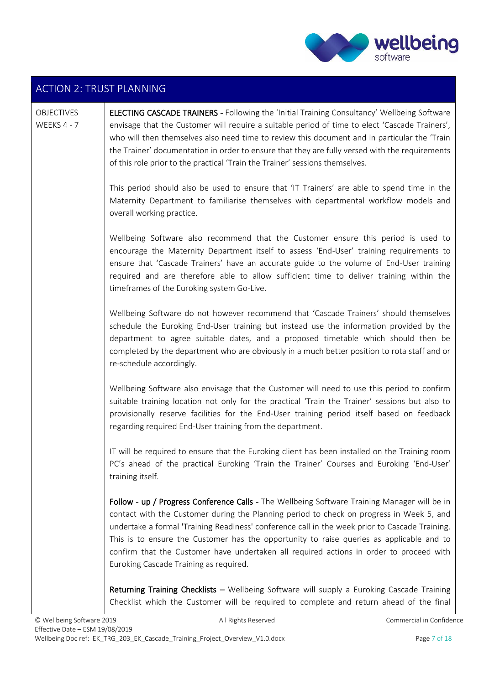

### ACTION 2: TRUST PLANNING

#### **OBJECTIVES** WEEKS 4 - 7

ELECTING CASCADE TRAINERS - Following the 'Initial Training Consultancy' Wellbeing Software envisage that the Customer will require a suitable period of time to elect 'Cascade Trainers', who will then themselves also need time to review this document and in particular the 'Train the Trainer' documentation in order to ensure that they are fully versed with the requirements of this role prior to the practical 'Train the Trainer' sessions themselves.

This period should also be used to ensure that 'IT Trainers' are able to spend time in the Maternity Department to familiarise themselves with departmental workflow models and overall working practice.

Wellbeing Software also recommend that the Customer ensure this period is used to encourage the Maternity Department itself to assess 'End-User' training requirements to ensure that 'Cascade Trainers' have an accurate guide to the volume of End-User training required and are therefore able to allow sufficient time to deliver training within the timeframes of the Euroking system Go-Live.

Wellbeing Software do not however recommend that 'Cascade Trainers' should themselves schedule the Euroking End-User training but instead use the information provided by the department to agree suitable dates, and a proposed timetable which should then be completed by the department who are obviously in a much better position to rota staff and or re-schedule accordingly.

Wellbeing Software also envisage that the Customer will need to use this period to confirm suitable training location not only for the practical 'Train the Trainer' sessions but also to provisionally reserve facilities for the End-User training period itself based on feedback regarding required End-User training from the department.

IT will be required to ensure that the Euroking client has been installed on the Training room PC's ahead of the practical Euroking 'Train the Trainer' Courses and Euroking 'End-User' training itself.

Follow - up / Progress Conference Calls - The Wellbeing Software Training Manager will be in contact with the Customer during the Planning period to check on progress in Week 5, and undertake a formal 'Training Readiness' conference call in the week prior to Cascade Training. This is to ensure the Customer has the opportunity to raise queries as applicable and to confirm that the Customer have undertaken all required actions in order to proceed with Euroking Cascade Training as required.

Returning Training Checklists – Wellbeing Software will supply a Euroking Cascade Training Checklist which the Customer will be required to complete and return ahead of the final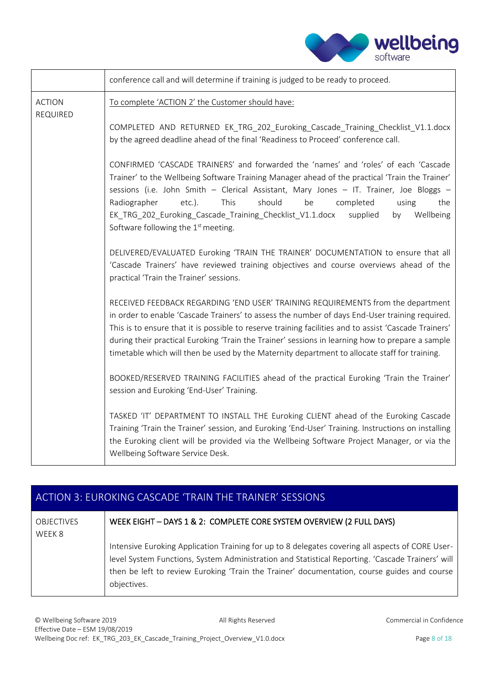| wellbeing |
|-----------|
| software  |

|                           | conference call and will determine if training is judged to be ready to proceed.                                                                                                                                                                                                                                                                                                                                                                                                                      |
|---------------------------|-------------------------------------------------------------------------------------------------------------------------------------------------------------------------------------------------------------------------------------------------------------------------------------------------------------------------------------------------------------------------------------------------------------------------------------------------------------------------------------------------------|
| <b>ACTION</b><br>REQUIRED | To complete 'ACTION 2' the Customer should have:                                                                                                                                                                                                                                                                                                                                                                                                                                                      |
|                           | COMPLETED AND RETURNED EK_TRG_202 Euroking_Cascade_Training_Checklist_V1.1.docx<br>by the agreed deadline ahead of the final 'Readiness to Proceed' conference call.                                                                                                                                                                                                                                                                                                                                  |
|                           | CONFIRMED 'CASCADE TRAINERS' and forwarded the 'names' and 'roles' of each 'Cascade<br>Trainer' to the Wellbeing Software Training Manager ahead of the practical 'Train the Trainer'<br>sessions (i.e. John Smith - Clerical Assistant, Mary Jones - IT. Trainer, Joe Bloggs -<br>should<br>Radiographer<br>$etc.$ ).<br>This<br>be<br>completed<br>using<br>the<br>EK_TRG_202_Euroking_Cascade_Training_Checklist_V1.1.docx<br>Wellbeing<br>supplied<br>by<br>Software following the $1st$ meeting. |
|                           | DELIVERED/EVALUATED Euroking 'TRAIN THE TRAINER' DOCUMENTATION to ensure that all<br>'Cascade Trainers' have reviewed training objectives and course overviews ahead of the<br>practical 'Train the Trainer' sessions.                                                                                                                                                                                                                                                                                |
|                           | RECEIVED FEEDBACK REGARDING 'END USER' TRAINING REQUIREMENTS from the department<br>in order to enable 'Cascade Trainers' to assess the number of days End-User training required.<br>This is to ensure that it is possible to reserve training facilities and to assist 'Cascade Trainers'<br>during their practical Euroking 'Train the Trainer' sessions in learning how to prepare a sample<br>timetable which will then be used by the Maternity department to allocate staff for training.      |
|                           | BOOKED/RESERVED TRAINING FACILITIES ahead of the practical Euroking 'Train the Trainer'<br>session and Euroking 'End-User' Training.                                                                                                                                                                                                                                                                                                                                                                  |
|                           | TASKED 'IT' DEPARTMENT TO INSTALL THE Euroking CLIENT ahead of the Euroking Cascade<br>Training 'Train the Trainer' session, and Euroking 'End-User' Training. Instructions on installing<br>the Euroking client will be provided via the Wellbeing Software Project Manager, or via the<br>Wellbeing Software Service Desk.                                                                                                                                                                          |

### ACTION 3: EUROKING CASCADE 'TRAIN THE TRAINER' SESSIONS

| <b>OBJECTIVES</b><br>WEEK 8 | WEEK EIGHT - DAYS 1 & 2: COMPLETE CORE SYSTEM OVERVIEW (2 FULL DAYS)                                                                                                                                                                                                                                               |
|-----------------------------|--------------------------------------------------------------------------------------------------------------------------------------------------------------------------------------------------------------------------------------------------------------------------------------------------------------------|
|                             | Intensive Euroking Application Training for up to 8 delegates covering all aspects of CORE User-<br>level System Functions, System Administration and Statistical Reporting. 'Cascade Trainers' will<br>then be left to review Euroking 'Train the Trainer' documentation, course guides and course<br>objectives. |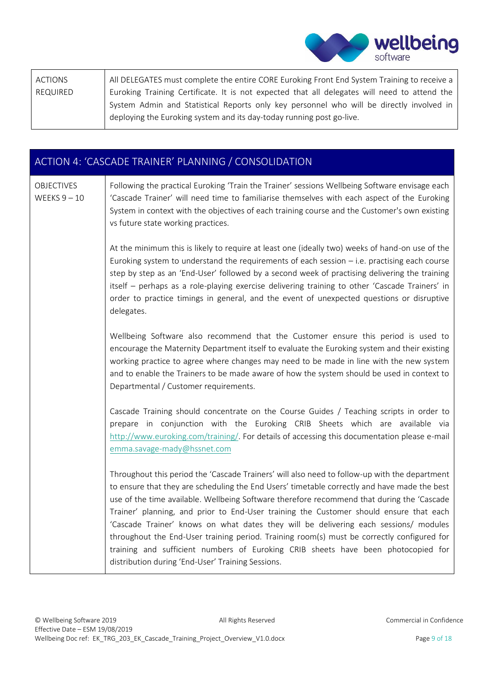| All DELEGATES must complete the entire CORE Euroking Front End System Training to receive a  |
|----------------------------------------------------------------------------------------------|
| Euroking Training Certificate. It is not expected that all delegates will need to attend the |
| System Admin and Statistical Reports only key personnel who will be directly involved in     |
| deploying the Euroking system and its day-today running post go-live.                        |
|                                                                                              |

|                                     | ACTION 4: 'CASCADE TRAINER' PLANNING / CONSOLIDATION                                                                                                                                                                                                                                                                                                                                                                                                                                                                                                                                                                                                                                                                  |
|-------------------------------------|-----------------------------------------------------------------------------------------------------------------------------------------------------------------------------------------------------------------------------------------------------------------------------------------------------------------------------------------------------------------------------------------------------------------------------------------------------------------------------------------------------------------------------------------------------------------------------------------------------------------------------------------------------------------------------------------------------------------------|
| <b>OBJECTIVES</b><br>WEEKS $9 - 10$ | Following the practical Euroking 'Train the Trainer' sessions Wellbeing Software envisage each<br>'Cascade Trainer' will need time to familiarise themselves with each aspect of the Euroking<br>System in context with the objectives of each training course and the Customer's own existing<br>vs future state working practices.                                                                                                                                                                                                                                                                                                                                                                                  |
|                                     | At the minimum this is likely to require at least one (ideally two) weeks of hand-on use of the<br>Euroking system to understand the requirements of each session - i.e. practising each course<br>step by step as an 'End-User' followed by a second week of practising delivering the training<br>itself - perhaps as a role-playing exercise delivering training to other 'Cascade Trainers' in<br>order to practice timings in general, and the event of unexpected questions or disruptive<br>delegates.                                                                                                                                                                                                         |
|                                     | Wellbeing Software also recommend that the Customer ensure this period is used to<br>encourage the Maternity Department itself to evaluate the Euroking system and their existing<br>working practice to agree where changes may need to be made in line with the new system<br>and to enable the Trainers to be made aware of how the system should be used in context to<br>Departmental / Customer requirements.                                                                                                                                                                                                                                                                                                   |
|                                     | Cascade Training should concentrate on the Course Guides / Teaching scripts in order to<br>prepare in conjunction with the Euroking CRIB Sheets which are available via<br>http://www.euroking.com/training/. For details of accessing this documentation please e-mail<br>emma.savage-mady@hssnet.com                                                                                                                                                                                                                                                                                                                                                                                                                |
|                                     | Throughout this period the 'Cascade Trainers' will also need to follow-up with the department<br>to ensure that they are scheduling the End Users' timetable correctly and have made the best<br>use of the time available. Wellbeing Software therefore recommend that during the 'Cascade<br>Trainer' planning, and prior to End-User training the Customer should ensure that each<br>'Cascade Trainer' knows on what dates they will be delivering each sessions/ modules<br>throughout the End-User training period. Training room(s) must be correctly configured for<br>training and sufficient numbers of Euroking CRIB sheets have been photocopied for<br>distribution during 'End-User' Training Sessions. |

**wellbeing**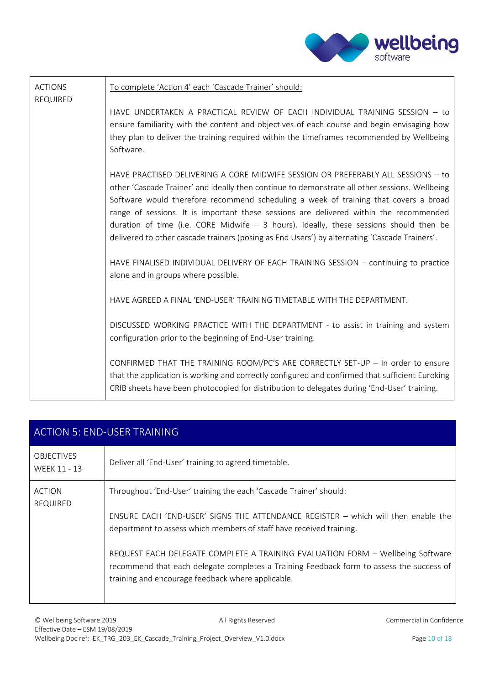

| <b>ACTIONS</b><br><b>REQUIRED</b> | To complete 'Action 4' each 'Cascade Trainer' should:                                                                                                                                                                                                                                                                                                                                                                                                                                                                                                             |
|-----------------------------------|-------------------------------------------------------------------------------------------------------------------------------------------------------------------------------------------------------------------------------------------------------------------------------------------------------------------------------------------------------------------------------------------------------------------------------------------------------------------------------------------------------------------------------------------------------------------|
|                                   | HAVE UNDERTAKEN A PRACTICAL REVIEW OF EACH INDIVIDUAL TRAINING SESSION - to<br>ensure familiarity with the content and objectives of each course and begin envisaging how<br>they plan to deliver the training required within the timeframes recommended by Wellbeing<br>Software.                                                                                                                                                                                                                                                                               |
|                                   | HAVE PRACTISED DELIVERING A CORE MIDWIFE SESSION OR PREFERABLY ALL SESSIONS - to<br>other 'Cascade Trainer' and ideally then continue to demonstrate all other sessions. Wellbeing<br>Software would therefore recommend scheduling a week of training that covers a broad<br>range of sessions. It is important these sessions are delivered within the recommended<br>duration of time (i.e. CORE Midwife $-$ 3 hours). Ideally, these sessions should then be<br>delivered to other cascade trainers (posing as End Users') by alternating 'Cascade Trainers'. |
|                                   | HAVE FINALISED INDIVIDUAL DELIVERY OF EACH TRAINING SESSION - continuing to practice<br>alone and in groups where possible.                                                                                                                                                                                                                                                                                                                                                                                                                                       |
|                                   | HAVE AGREED A FINAL 'END-USER' TRAINING TIMETABLE WITH THE DEPARTMENT.                                                                                                                                                                                                                                                                                                                                                                                                                                                                                            |
|                                   | DISCUSSED WORKING PRACTICE WITH THE DEPARTMENT - to assist in training and system<br>configuration prior to the beginning of End-User training.                                                                                                                                                                                                                                                                                                                                                                                                                   |
|                                   | CONFIRMED THAT THE TRAINING ROOM/PC'S ARE CORRECTLY SET-UP - In order to ensure<br>that the application is working and correctly configured and confirmed that sufficient Euroking<br>CRIB sheets have been photocopied for distribution to delegates during 'End-User' training.                                                                                                                                                                                                                                                                                 |

| <b>ACTION 5: END-USER TRAINING</b> |                                                                                                                                                                                                                                 |  |
|------------------------------------|---------------------------------------------------------------------------------------------------------------------------------------------------------------------------------------------------------------------------------|--|
| <b>OBJECTIVES</b><br>WEEK 11 - 13  | Deliver all 'End-User' training to agreed timetable.                                                                                                                                                                            |  |
| <b>ACTION</b><br><b>REQUIRED</b>   | Throughout 'End-User' training the each 'Cascade Trainer' should:                                                                                                                                                               |  |
|                                    | ENSURE EACH 'END-USER' SIGNS THE ATTENDANCE REGISTER - which will then enable the<br>department to assess which members of staff have received training.                                                                        |  |
|                                    | REQUEST EACH DELEGATE COMPLETE A TRAINING EVALUATION FORM - Wellbeing Software<br>recommend that each delegate completes a Training Feedback form to assess the success of<br>training and encourage feedback where applicable. |  |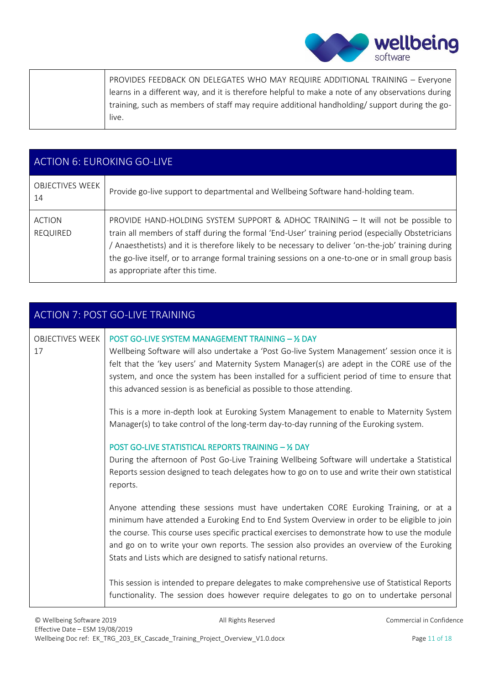| PROVIDES FEEDBACK ON DELEGATES WHO MAY REQUIRE ADDITIONAL TRAINING - Everyone                    |
|--------------------------------------------------------------------------------------------------|
| learns in a different way, and it is therefore helpful to make a note of any observations during |
| training, such as members of staff may require additional handholding/support during the go-     |
| live.                                                                                            |

| <b>ACTION 6: EUROKING GO-LIVE</b> |                                                                                                                                                                                                                                                                                                                                                                                                                                        |  |  |
|-----------------------------------|----------------------------------------------------------------------------------------------------------------------------------------------------------------------------------------------------------------------------------------------------------------------------------------------------------------------------------------------------------------------------------------------------------------------------------------|--|--|
| <b>OBJECTIVES WEEK</b><br>14      | Provide go-live support to departmental and Wellbeing Software hand-holding team.                                                                                                                                                                                                                                                                                                                                                      |  |  |
| <b>ACTION</b><br><b>REQUIRED</b>  | PROVIDE HAND-HOLDING SYSTEM SUPPORT & ADHOC TRAINING - It will not be possible to<br>train all members of staff during the formal 'End-User' training period (especially Obstetricians<br>Anaesthetists) and it is therefore likely to be necessary to deliver 'on-the-job' training during /<br>the go-live itself, or to arrange formal training sessions on a one-to-one or in small group basis<br>as appropriate after this time. |  |  |

| <b>ACTION 7: POST GO-LIVE TRAINING</b> |                                                                                                                                                                                                                                                                                                                                                                                                                                                        |  |  |  |
|----------------------------------------|--------------------------------------------------------------------------------------------------------------------------------------------------------------------------------------------------------------------------------------------------------------------------------------------------------------------------------------------------------------------------------------------------------------------------------------------------------|--|--|--|
| <b>OBJECTIVES WEEK</b><br>17           | POST GO-LIVE SYSTEM MANAGEMENT TRAINING - 1/2 DAY<br>Wellbeing Software will also undertake a 'Post Go-live System Management' session once it is<br>felt that the 'key users' and Maternity System Manager(s) are adept in the CORE use of the<br>system, and once the system has been installed for a sufficient period of time to ensure that<br>this advanced session is as beneficial as possible to those attending.                             |  |  |  |
|                                        | This is a more in-depth look at Euroking System Management to enable to Maternity System<br>Manager(s) to take control of the long-term day-to-day running of the Euroking system.                                                                                                                                                                                                                                                                     |  |  |  |
|                                        | <b>POST GO-LIVE STATISTICAL REPORTS TRAINING - 1/2 DAY</b><br>During the afternoon of Post Go-Live Training Wellbeing Software will undertake a Statistical<br>Reports session designed to teach delegates how to go on to use and write their own statistical<br>reports.                                                                                                                                                                             |  |  |  |
|                                        | Anyone attending these sessions must have undertaken CORE Euroking Training, or at a<br>minimum have attended a Euroking End to End System Overview in order to be eligible to join<br>the course. This course uses specific practical exercises to demonstrate how to use the module<br>and go on to write your own reports. The session also provides an overview of the Euroking<br>Stats and Lists which are designed to satisfy national returns. |  |  |  |
|                                        | This session is intended to prepare delegates to make comprehensive use of Statistical Reports<br>functionality. The session does however require delegates to go on to undertake personal                                                                                                                                                                                                                                                             |  |  |  |

Wellbeing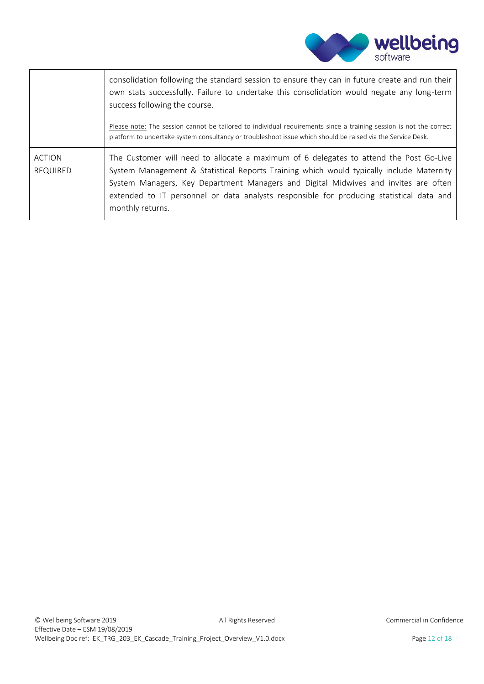

|                                  | consolidation following the standard session to ensure they can in future create and run their<br>own stats successfully. Failure to undertake this consolidation would negate any long-term<br>success following the course.                                                                                                                                                             |
|----------------------------------|-------------------------------------------------------------------------------------------------------------------------------------------------------------------------------------------------------------------------------------------------------------------------------------------------------------------------------------------------------------------------------------------|
|                                  | Please note: The session cannot be tailored to individual requirements since a training session is not the correct<br>platform to undertake system consultancy or troubleshoot issue which should be raised via the Service Desk.                                                                                                                                                         |
| <b>ACTION</b><br><b>REQUIRED</b> | The Customer will need to allocate a maximum of 6 delegates to attend the Post Go-Live<br>System Management & Statistical Reports Training which would typically include Maternity<br>System Managers, Key Department Managers and Digital Midwives and invites are often<br>extended to IT personnel or data analysts responsible for producing statistical data and<br>monthly returns. |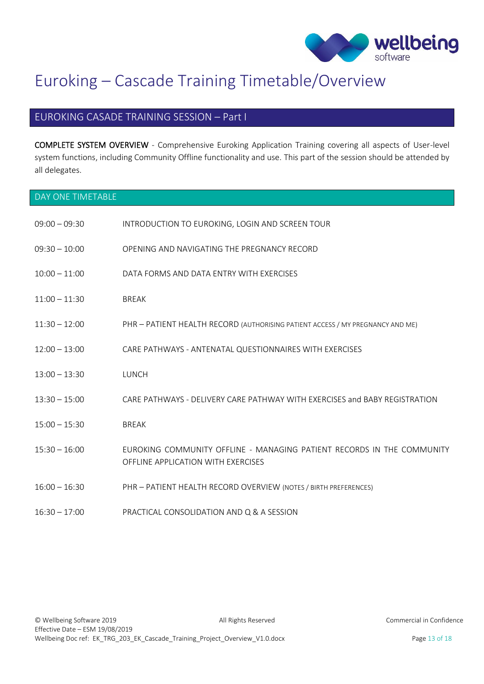

## <span id="page-13-0"></span>Euroking – Cascade Training Timetable/Overview

### EUROKING CASADE TRAINING SESSION – Part I

COMPLETE SYSTEM OVERVIEW - Comprehensive Euroking Application Training covering all aspects of User-level system functions, including Community Offline functionality and use. This part of the session should be attended by all delegates.

<span id="page-13-1"></span>

| DAY ONE TIMETABLE |                                                                                                              |
|-------------------|--------------------------------------------------------------------------------------------------------------|
| $09:00 - 09:30$   | INTRODUCTION TO EUROKING, LOGIN AND SCREEN TOUR                                                              |
| $09:30 - 10:00$   | OPENING AND NAVIGATING THE PREGNANCY RECORD                                                                  |
| $10:00 - 11:00$   | DATA FORMS AND DATA ENTRY WITH EXERCISES                                                                     |
| $11:00 - 11:30$   | <b>BREAK</b>                                                                                                 |
| $11:30 - 12:00$   | PHR - PATIENT HEALTH RECORD (AUTHORISING PATIENT ACCESS / MY PREGNANCY AND ME)                               |
| $12:00 - 13:00$   | CARE PATHWAYS - ANTENATAL QUESTIONNAIRES WITH EXERCISES                                                      |
| $13:00 - 13:30$   | <b>LUNCH</b>                                                                                                 |
| $13:30 - 15:00$   | CARE PATHWAYS - DELIVERY CARE PATHWAY WITH EXERCISES and BABY REGISTRATION                                   |
| $15:00 - 15:30$   | <b>BREAK</b>                                                                                                 |
| $15:30 - 16:00$   | EUROKING COMMUNITY OFFLINE - MANAGING PATIENT RECORDS IN THE COMMUNITY<br>OFFLINE APPLICATION WITH EXERCISES |
| $16:00 - 16:30$   | PHR - PATIENT HEALTH RECORD OVERVIEW (NOTES / BIRTH PREFERENCES)                                             |
| $16:30 - 17:00$   | PRACTICAL CONSOLIDATION AND Q & A SESSION                                                                    |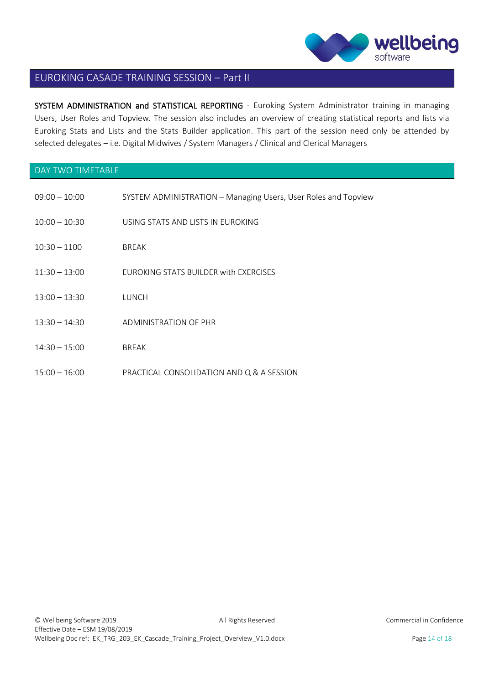

### EUROKING CASADE TRAINING SESSION – Part II

SYSTEM ADMINISTRATION and STATISTICAL REPORTING - Euroking System Administrator training in managing Users, User Roles and Topview. The session also includes an overview of creating statistical reports and lists via Euroking Stats and Lists and the Stats Builder application. This part of the session need only be attended by selected delegates – i.e. Digital Midwives / System Managers / Clinical and Clerical Managers

#### <span id="page-14-0"></span>DAY TWO TIMETABLE

| $09:00 - 10:00$ | SYSTEM ADMINISTRATION - Managing Users, User Roles and Topview |
|-----------------|----------------------------------------------------------------|
| $10:00 - 10:30$ | USING STATS AND LISTS IN EUROKING                              |
| $10:30 - 1100$  | <b>BREAK</b>                                                   |
| $11:30 - 13:00$ | FUROKING STATS BUILDER with EXERCISES                          |
| $13:00 - 13:30$ | LUNCH                                                          |
| $13:30 - 14:30$ | ADMINISTRATION OF PHR                                          |
| $14:30 - 15:00$ | <b>BREAK</b>                                                   |
| $15:00 - 16:00$ | PRACTICAL CONSOLIDATION AND Q & A SESSION                      |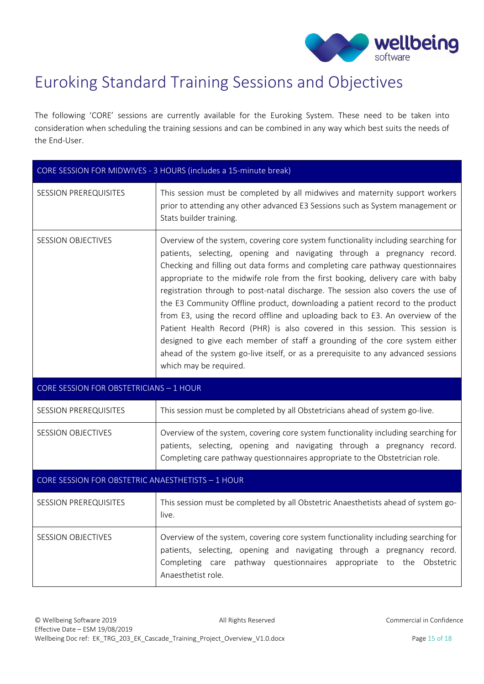

## <span id="page-15-0"></span>Euroking Standard Training Sessions and Objectives

The following 'CORE' sessions are currently available for the Euroking System. These need to be taken into consideration when scheduling the training sessions and can be combined in any way which best suits the needs of the End-User.

| CORE SESSION FOR MIDWIVES - 3 HOURS (includes a 15-minute break) |                                                                                                                                                                                                                                                                                                                                                                                                                                                                                                                                                                                                                                                                                                                                                                                                                                                                         |  |  |
|------------------------------------------------------------------|-------------------------------------------------------------------------------------------------------------------------------------------------------------------------------------------------------------------------------------------------------------------------------------------------------------------------------------------------------------------------------------------------------------------------------------------------------------------------------------------------------------------------------------------------------------------------------------------------------------------------------------------------------------------------------------------------------------------------------------------------------------------------------------------------------------------------------------------------------------------------|--|--|
| <b>SESSION PREREQUISITES</b>                                     | This session must be completed by all midwives and maternity support workers<br>prior to attending any other advanced E3 Sessions such as System management or<br>Stats builder training.                                                                                                                                                                                                                                                                                                                                                                                                                                                                                                                                                                                                                                                                               |  |  |
| <b>SESSION OBJECTIVES</b>                                        | Overview of the system, covering core system functionality including searching for<br>patients, selecting, opening and navigating through a pregnancy record.<br>Checking and filling out data forms and completing care pathway questionnaires<br>appropriate to the midwife role from the first booking, delivery care with baby<br>registration through to post-natal discharge. The session also covers the use of<br>the E3 Community Offline product, downloading a patient record to the product<br>from E3, using the record offline and uploading back to E3. An overview of the<br>Patient Health Record (PHR) is also covered in this session. This session is<br>designed to give each member of staff a grounding of the core system either<br>ahead of the system go-live itself, or as a prerequisite to any advanced sessions<br>which may be required. |  |  |
| CORE SESSION FOR OBSTETRICIANS - 1 HOUR                          |                                                                                                                                                                                                                                                                                                                                                                                                                                                                                                                                                                                                                                                                                                                                                                                                                                                                         |  |  |
|                                                                  |                                                                                                                                                                                                                                                                                                                                                                                                                                                                                                                                                                                                                                                                                                                                                                                                                                                                         |  |  |
| <b>SESSION PREREQUISITES</b>                                     | This session must be completed by all Obstetricians ahead of system go-live.                                                                                                                                                                                                                                                                                                                                                                                                                                                                                                                                                                                                                                                                                                                                                                                            |  |  |
| <b>SESSION OBJECTIVES</b>                                        | Overview of the system, covering core system functionality including searching for<br>patients, selecting, opening and navigating through a pregnancy record.<br>Completing care pathway questionnaires appropriate to the Obstetrician role.                                                                                                                                                                                                                                                                                                                                                                                                                                                                                                                                                                                                                           |  |  |
| CORE SESSION FOR OBSTETRIC ANAESTHETISTS - 1 HOUR                |                                                                                                                                                                                                                                                                                                                                                                                                                                                                                                                                                                                                                                                                                                                                                                                                                                                                         |  |  |
| <b>SESSION PREREQUISITES</b>                                     | This session must be completed by all Obstetric Anaesthetists ahead of system go-<br>live.                                                                                                                                                                                                                                                                                                                                                                                                                                                                                                                                                                                                                                                                                                                                                                              |  |  |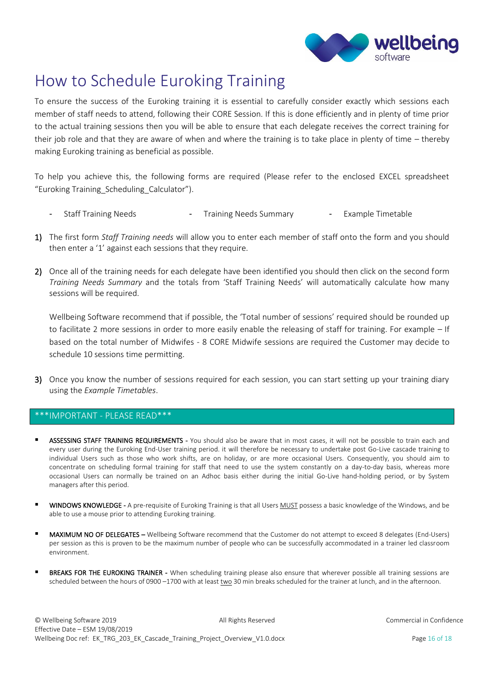

## <span id="page-16-0"></span>How to Schedule Euroking Training

To ensure the success of the Euroking training it is essential to carefully consider exactly which sessions each member of staff needs to attend, following their CORE Session. If this is done efficiently and in plenty of time prior to the actual training sessions then you will be able to ensure that each delegate receives the correct training for their job role and that they are aware of when and where the training is to take place in plenty of time – thereby making Euroking training as beneficial as possible.

To help you achieve this, the following forms are required (Please refer to the enclosed EXCEL spreadsheet "Euroking Training\_Scheduling\_Calculator").

- Staff Training Needs **-** Training Needs Summary **-** Example Timetable
- 1) The first form *Staff Training needs* will allow you to enter each member of staff onto the form and you should then enter a '1' against each sessions that they require.
- 2) Once all of the training needs for each delegate have been identified you should then click on the second form *Training Needs Summary* and the totals from 'Staff Training Needs' will automatically calculate how many sessions will be required.

Wellbeing Software recommend that if possible, the 'Total number of sessions' required should be rounded up to facilitate 2 more sessions in order to more easily enable the releasing of staff for training. For example – If based on the total number of Midwifes - 8 CORE Midwife sessions are required the Customer may decide to schedule 10 sessions time permitting.

3) Once you know the number of sessions required for each session, you can start setting up your training diary using the *Example Timetables*.

#### \*\*\*IMPORTANT - PLEASE READ\*\*\*

- ASSESSING STAFF TRAINING REQUIREMENTS You should also be aware that in most cases, it will not be possible to train each and every user during the Euroking End-User training period. it will therefore be necessary to undertake post Go-Live cascade training to individual Users such as those who work shifts, are on holiday, or are more occasional Users. Consequently, you should aim to concentrate on scheduling formal training for staff that need to use the system constantly on a day-to-day basis, whereas more occasional Users can normally be trained on an Adhoc basis either during the initial Go-Live hand-holding period, or by System managers after this period.
- WINDOWS KNOWLEDGE A pre-requisite of Euroking Training is that all Users MUST possess a basic knowledge of the Windows, and be able to use a mouse prior to attending Euroking training.
- MAXIMUM NO OF DELEGATES Wellbeing Software recommend that the Customer do not attempt to exceed 8 delegates (End-Users) per session as this is proven to be the maximum number of people who can be successfully accommodated in a trainer led classroom environment.
- BREAKS FOR THE EUROKING TRAINER When scheduling training please also ensure that wherever possible all training sessions are scheduled between the hours of 0900 -1700 with at least two 30 min breaks scheduled for the trainer at lunch, and in the afternoon.